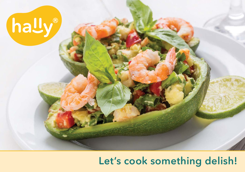# hally®

## Let's cook something delish!